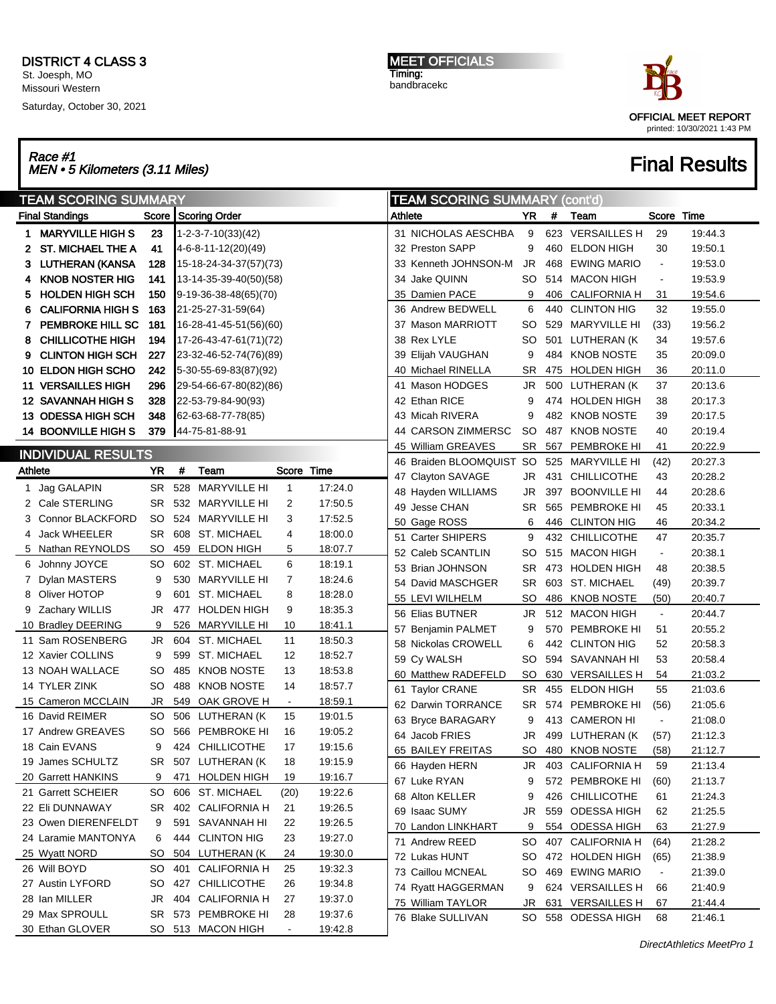Saturday, October 30, 2021

MEET OFFICIALS Timing: bandbracekc



## Race #1<br>MEN • 5 Kilometers (3.11 Miles) Final Results

|                | <b>TEAM SCORING SUMMARY</b> |           |     |                        |                |         |         | <b>TEAM SCORING SUMMARY (cont'd)</b> |           |     |                     |                |         |  |
|----------------|-----------------------------|-----------|-----|------------------------|----------------|---------|---------|--------------------------------------|-----------|-----|---------------------|----------------|---------|--|
|                | <b>Final Standings</b>      |           |     | Score   Scoring Order  |                |         | Athlete |                                      | YR        | #   | Team                | Score Time     |         |  |
| 1.             | <b>MARYVILLE HIGH S</b>     | 23        |     | 1-2-3-7-10(33)(42)     |                |         |         | 31 NICHOLAS AESCHBA                  | 9         |     | 623 VERSAILLES H    | 29             | 19:44.3 |  |
| 2.             | <b>ST. MICHAEL THE A</b>    | 41        |     | 4-6-8-11-12(20)(49)    |                |         |         | 32 Preston SAPP                      | 9         | 460 | <b>ELDON HIGH</b>   | 30             | 19:50.1 |  |
|                | 3 LUTHERAN (KANSA           | 128       |     | 15-18-24-34-37(57)(73) |                |         |         | 33 Kenneth JOHNSON-M                 | JR        | 468 | <b>EWING MARIO</b>  | $\blacksquare$ | 19:53.0 |  |
| 4              | <b>KNOB NOSTER HIG</b>      | 141       |     | 13-14-35-39-40(50)(58) |                |         |         | 34 Jake QUINN                        | <b>SO</b> | 514 | <b>MACON HIGH</b>   | $\blacksquare$ | 19:53.9 |  |
| 5.             | <b>HOLDEN HIGH SCH</b>      | 150       |     | 9-19-36-38-48(65)(70)  |                |         |         | 35 Damien PACE                       | 9         | 406 | <b>CALIFORNIA H</b> | 31             | 19.54.6 |  |
| 6              | <b>CALIFORNIA HIGH S</b>    | 163       |     | 21-25-27-31-59(64)     |                |         |         | 36 Andrew BEDWELL                    | 6         | 440 | <b>CLINTON HIG</b>  | 32             | 19:55.0 |  |
| 7              | PEMBROKE HILL SC            | 181       |     | 16-28-41-45-51(56)(60) |                |         |         | 37 Mason MARRIOTT                    | <b>SO</b> | 529 | MARYVILLE HI        | (33)           | 19:56.2 |  |
| 8              | <b>CHILLICOTHE HIGH</b>     | 194       |     | 17-26-43-47-61(71)(72) |                |         |         | 38 Rex LYLE                          | <b>SO</b> |     | 501 LUTHERAN (K     | 34             | 19.57.6 |  |
| 9              | <b>CLINTON HIGH SCH</b>     | 227       |     | 23-32-46-52-74(76)(89) |                |         |         | 39 Elijah VAUGHAN                    | 9         |     | 484 KNOB NOSTE      | 35             | 20:09.0 |  |
|                | 10 ELDON HIGH SCHO          | 242       |     | 5-30-55-69-83(87)(92)  |                |         |         | 40 Michael RINELLA                   | <b>SR</b> |     | 475 HOLDEN HIGH     | 36             | 20:11.0 |  |
|                | 11 VERSAILLES HIGH          | 296       |     | 29-54-66-67-80(82)(86) |                |         |         | 41 Mason HODGES                      | JR        |     | 500 LUTHERAN (K     | 37             | 20:13.6 |  |
|                | <b>12 SAVANNAH HIGH S</b>   | 328       |     | 22-53-79-84-90(93)     |                |         |         | 42 Ethan RICE                        | 9         |     | 474 HOLDEN HIGH     | 38             | 20:17.3 |  |
|                | 13 ODESSA HIGH SCH          | 348       |     | 62-63-68-77-78(85)     |                |         |         | 43 Micah RIVERA                      | 9         |     | 482 KNOB NOSTE      | 39             | 20:17.5 |  |
|                | 14 BOONVILLE HIGH S         | 379       |     | 44-75-81-88-91         |                |         |         | 44 CARSON ZIMMERSC                   | <b>SO</b> | 487 | <b>KNOB NOSTE</b>   | 40             | 20:19.4 |  |
|                |                             |           |     |                        |                |         |         | 45 William GREAVES                   | <b>SR</b> | 567 | PEMBROKE HI         | 41             | 20:22.9 |  |
|                | <b>INDIVIDUAL RESULTS</b>   |           |     |                        |                |         |         | 46 Braiden BLOOMQUIST SO             |           | 525 | MARYVILLE HI        | (42)           | 20:27.3 |  |
| <b>Athlete</b> |                             | YR        | #   | Team                   | Score Time     |         |         | 47 Clayton SAVAGE                    | JR        |     | 431 CHILLICOTHE     | 43             | 20:28.2 |  |
| 1              | Jag GALAPIN                 | SR.       | 528 | <b>MARYVILLE HI</b>    | 1              | 17:24.0 |         | 48 Hayden WILLIAMS                   | JR        | 397 | <b>BOONVILLE HI</b> | 44             | 20:28.6 |  |
|                | 2 Cale STERLING             | SR        |     | 532 MARYVILLE HI       | 2              | 17:50.5 |         | 49 Jesse CHAN                        | <b>SR</b> | 565 | PEMBROKE HI         | 45             | 20:33.1 |  |
| 3              | <b>Connor BLACKFORD</b>     | SO        |     | 524 MARYVILLE HI       | 3              | 17:52.5 |         | 50 Gage ROSS                         | 6         | 446 | <b>CLINTON HIG</b>  | 46             | 20:34.2 |  |
| 4              | <b>Jack WHEELER</b>         | SR        |     | 608 ST. MICHAEL        | 4              | 18:00.0 |         | 51 Carter SHIPERS                    | 9         |     | 432 CHILLICOTHE     | 47             | 20:35.7 |  |
|                | 5 Nathan REYNOLDS           | SO.       |     | 459 ELDON HIGH         | 5              | 18:07.7 |         | 52 Caleb SCANTLIN                    | SO        | 515 | <b>MACON HIGH</b>   | $\blacksquare$ | 20:38.1 |  |
|                | 6 Johnny JOYCE              | SO        |     | 602 ST. MICHAEL        | 6              | 18:19.1 |         | 53 Brian JOHNSON                     | <b>SR</b> |     | 473 HOLDEN HIGH     | 48             | 20:38.5 |  |
|                | Dylan MASTERS               | 9         |     | 530 MARYVILLE HI       | $\overline{7}$ | 18:24.6 |         | 54 David MASCHGER                    | <b>SR</b> |     | 603 ST. MICHAEL     | (49)           | 20:39.7 |  |
| 8              | Oliver HOTOP                | 9         | 601 | <b>ST. MICHAEL</b>     | 8              | 18:28.0 |         | 55 LEVI WILHELM                      | SO        | 486 | <b>KNOB NOSTE</b>   | (50)           | 20:40.7 |  |
|                | 9 Zachary WILLIS            | JR        | 477 | <b>HOLDEN HIGH</b>     | 9              | 18:35.3 |         | 56 Elias BUTNER                      | JR        |     | 512 MACON HIGH      | $\blacksquare$ | 20:44.7 |  |
|                | 10 Bradley DEERING          | 9         | 526 | <b>MARYVILLE HI</b>    | 10             | 18:41.1 |         | 57 Benjamin PALMET                   | 9         | 570 | PEMBROKE HI         | 51             | 20:55.2 |  |
|                | 11 Sam ROSENBERG            | JR        |     | 604 ST. MICHAEL        | 11             | 18:50.3 |         | 58 Nickolas CROWELL                  | 6         |     | 442 CLINTON HIG     | 52             | 20:58.3 |  |
|                | 12 Xavier COLLINS           | 9         | 599 | ST. MICHAEL            | 12             | 18:52.7 |         | 59 Cy WALSH                          | <b>SO</b> |     | 594 SAVANNAH HI     | 53             | 20:58.4 |  |
|                | 13 NOAH WALLACE             | SO        | 485 | <b>KNOB NOSTE</b>      | 13             | 18:53.8 |         | 60 Matthew RADEFELD                  | <b>SO</b> | 630 | <b>VERSAILLES H</b> | 54             | 21:03.2 |  |
|                | 14 TYLER ZINK               | SO        | 488 | <b>KNOB NOSTE</b>      | 14             | 18:57.7 |         | 61 Taylor CRANE                      | <b>SR</b> | 455 | <b>ELDON HIGH</b>   | 55             | 21:03.6 |  |
|                | 15 Cameron MCCLAIN          | <b>JR</b> |     | 549 OAK GROVE H        | $\blacksquare$ | 18:59.1 |         | 62 Darwin TORRANCE                   | <b>SR</b> |     | 574 PEMBROKE HI     | (56)           | 21:05.6 |  |
|                | 16 David REIMER             | SO        |     | 506 LUTHERAN (K        | 15             | 19:01.5 |         | 63 Bryce BARAGARY                    | 9         |     | 413 CAMERON HI      | $\blacksquare$ | 21:08.0 |  |
|                | 17 Andrew GREAVES           | SO        | 566 | PEMBROKE HI            | 16             | 19:05.2 |         | 64 Jacob FRIES                       | JR        | 499 | LUTHERAN (K         | (57)           | 21:12.3 |  |
|                | 18 Cain EVANS               | 9         |     | 424 CHILLICOTHE        | 17             | 19:15.6 |         | 65 BAILEY FREITAS                    | SO        | 480 | <b>KNOB NOSTE</b>   | (58)           | 21:12.7 |  |
|                | 19 James SCHULTZ            |           |     | SR 507 LUTHERAN (K     | 18             | 19:15.9 |         | 66 Hayden HERN                       | JR        |     | 403 CALIFORNIA H    | 59             | 21:13.4 |  |
|                | 20 Garrett HANKINS          | 9         |     | 471 HOLDEN HIGH        | 19             | 19:16.7 |         | 67 Luke RYAN                         | 9         |     | 572 PEMBROKE HI     | (60)           | 21:13.7 |  |
|                | 21 Garrett SCHEIER          | SO        |     | 606 ST. MICHAEL        | (20)           | 19:22.6 |         | 68 Alton KELLER                      | 9         |     | 426 CHILLICOTHE     | 61             | 21:24.3 |  |
|                | 22 Eli DUNNAWAY             | SR        |     | 402 CALIFORNIA H       | 21             | 19:26.5 |         | 69 Isaac SUMY                        | JR        |     | 559 ODESSA HIGH     | 62             | 21:25.5 |  |
|                | 23 Owen DIERENFELDT         | 9         |     | 591 SAVANNAH HI        | 22             | 19:26.5 |         | 70 Landon LINKHART                   | 9         |     | 554 ODESSA HIGH     | 63             | 21:27.9 |  |
|                | 24 Laramie MANTONYA         | 6         |     | 444 CLINTON HIG        | 23             | 19:27.0 |         | 71 Andrew REED                       | SO        |     | 407 CALIFORNIA H    | (64)           | 21:28.2 |  |
|                | 25 Wyatt NORD               | SO.       |     | 504 LUTHERAN (K        | 24             | 19:30.0 |         | 72 Lukas HUNT                        | SO.       |     | 472 HOLDEN HIGH     | (65)           | 21:38.9 |  |
|                | 26 Will BOYD                | SO.       |     | 401 CALIFORNIA H       | 25             | 19:32.3 |         | 73 Caillou MCNEAL                    | SO.       |     | 469 EWING MARIO     | $\blacksquare$ | 21:39.0 |  |
|                | 27 Austin LYFORD            | SO.       |     | 427 CHILLICOTHE        | 26             | 19:34.8 |         | 74 Ryatt HAGGERMAN                   | 9         |     | 624 VERSAILLES H    | 66             | 21:40.9 |  |
|                | 28 Ian MILLER               | JR        |     | 404 CALIFORNIA H       | 27             | 19:37.0 |         | 75 William TAYLOR                    | JR        |     | 631 VERSAILLES H    | 67             | 21:44.4 |  |
|                | 29 Max SPROULL              |           |     | SR 573 PEMBROKE HI     | 28             | 19:37.6 |         | 76 Blake SULLIVAN                    |           |     | SO 558 ODESSA HIGH  | 68             | 21:46.1 |  |
|                | 30 Ethan GLOVER             |           |     | SO 513 MACON HIGH      | $\blacksquare$ | 19:42.8 |         |                                      |           |     |                     |                |         |  |